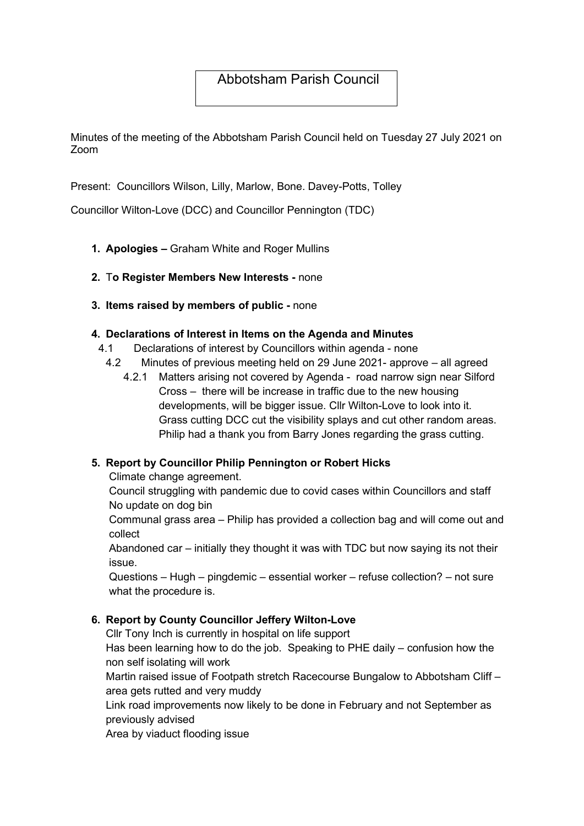## Abbotsham Parish Council

Minutes of the meeting of the Abbotsham Parish Council held on Tuesday 27 July 2021 on Zoom

Present: Councillors Wilson, Lilly, Marlow, Bone. Davey-Potts, Tolley

Councillor Wilton-Love (DCC) and Councillor Pennington (TDC)

- 1. Apologies Graham White and Roger Mullins
- 2. To Register Members New Interests none
- 3. Items raised by members of public none

#### 4. Declarations of Interest in Items on the Agenda and Minutes

- 4.1 Declarations of interest by Councillors within agenda none
- 4.2 Minutes of previous meeting held on 29 June 2021- approve all agreed
	- 4.2.1 Matters arising not covered by Agenda road narrow sign near Silford Cross – there will be increase in traffic due to the new housing developments, will be bigger issue. Cllr Wilton-Love to look into it. Grass cutting DCC cut the visibility splays and cut other random areas. Philip had a thank you from Barry Jones regarding the grass cutting.

### 5. Report by Councillor Philip Pennington or Robert Hicks

Climate change agreement.

Council struggling with pandemic due to covid cases within Councillors and staff No update on dog bin

Communal grass area – Philip has provided a collection bag and will come out and collect

Abandoned car – initially they thought it was with TDC but now saying its not their issue.

Questions – Hugh – pingdemic – essential worker – refuse collection? – not sure what the procedure is.

#### 6. Report by County Councillor Jeffery Wilton-Love

Cllr Tony Inch is currently in hospital on life support

Has been learning how to do the job. Speaking to PHE daily – confusion how the non self isolating will work

Martin raised issue of Footpath stretch Racecourse Bungalow to Abbotsham Cliff – area gets rutted and very muddy

Link road improvements now likely to be done in February and not September as previously advised

Area by viaduct flooding issue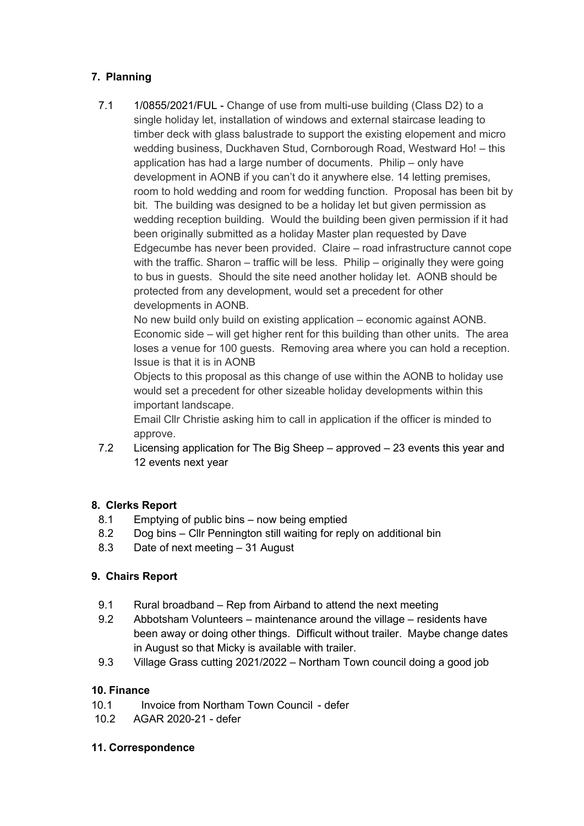### 7. Planning

7.1 1/0855/2021/FUL - Change of use from multi-use building (Class D2) to a single holiday let, installation of windows and external staircase leading to timber deck with glass balustrade to support the existing elopement and micro wedding business, Duckhaven Stud, Cornborough Road, Westward Ho! – this application has had a large number of documents. Philip – only have development in AONB if you can't do it anywhere else. 14 letting premises, room to hold wedding and room for wedding function. Proposal has been bit by bit. The building was designed to be a holiday let but given permission as wedding reception building. Would the building been given permission if it had been originally submitted as a holiday Master plan requested by Dave Edgecumbe has never been provided. Claire – road infrastructure cannot cope with the traffic. Sharon – traffic will be less. Philip – originally they were going to bus in guests. Should the site need another holiday let. AONB should be protected from any development, would set a precedent for other developments in AONB.

No new build only build on existing application – economic against AONB. Economic side – will get higher rent for this building than other units. The area loses a venue for 100 guests. Removing area where you can hold a reception. Issue is that it is in AONB

Objects to this proposal as this change of use within the AONB to holiday use would set a precedent for other sizeable holiday developments within this important landscape.

Email Cllr Christie asking him to call in application if the officer is minded to approve.

7.2 Licensing application for The Big Sheep – approved – 23 events this year and 12 events next year

### 8. Clerks Report

- 8.1 Emptying of public bins now being emptied
- 8.2 Dog bins Cllr Pennington still waiting for reply on additional bin
- 8.3 Date of next meeting 31 August

### 9. Chairs Report

- 9.1 Rural broadband Rep from Airband to attend the next meeting
- 9.2 Abbotsham Volunteers maintenance around the village residents have been away or doing other things. Difficult without trailer. Maybe change dates in August so that Micky is available with trailer.
- 9.3 Village Grass cutting 2021/2022 Northam Town council doing a good job

#### 10. Finance

- 10.1 Invoice from Northam Town Council defer
- 10.2 AGAR 2020-21 defer

### 11. Correspondence